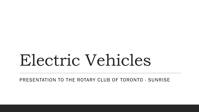# Electric Vehicles

PRESENTATION TO THE ROTARY CLUB OF TORONTO - SUNRISE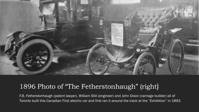

#### 1896 Photo of "The Fetherstonhaugh" (right)

F.B. Fetherstonhaugh (patent lawyer), William Still (engineer) and John Dixon (carriage builder) all of Toronto built this Canadian First electric car and first ran it around the track at the "Exhibition" in 1893.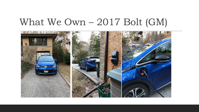#### What We Own – 2017 Bolt (GM)

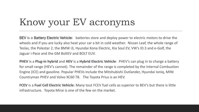## Know your EV acronyms

BEV is a Battery Electric Vehicle: batteries store and deploy power to electric motors to drive the wheels and if you are lucky also heat your car a bit in cold weather. Nissan Leaf, the whole range of Teslas, the Polestar 2, the BMW i3, Hyundai Kona Electric, Kia Soul EV, VW's ID.3 and e-Golf, the Jaguar i-Pace and the GM BoltEV and BOLT EUV.

**PHEV** is a **Plug-in hybrid** and **HEV** is a **Hybrid Electric Vehicle**: PHEV's can plug in to charge a battery for small range (HEV's cannot). The remainder of the range is completed by the Internal Combustion Engine (ICE) and gasoline. Popular PHEVs include the Mitshubishi Outlander, Hyundai Ioniq, MINI Countryman PHEV and Volvo XC60 T8. The Toyota Prius is an HEV.

**FCEV** is a **Fuel Cell Electric Vehicle**: Many tout FCEV fuel cells as superior to BEV's but there is little infrastructure. Toyota Mirai is one of the few on the market.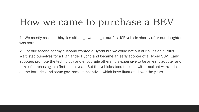## How we came to purchase a BEV

1. We mostly rode our bicycles although we bought our first ICE vehicle shortly after our daughter was born.

2. For our second car my husband wanted a Hybrid but we could not put our bikes on a Prius. Waitlisted ourselves for a Highlander Hybrid and became an early adopter of a Hybrid SUV. Early adopters promote the technology and encourage others. It is expensive to be an early adopter and risks of purchasing in a first model year. But the vehicles tend to come with excellent warranties on the batteries and some government incentives which have fluctuated over the years.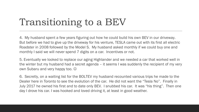## Transitioning to a BEV

4. My husband spent a few years figuring out how he could build his own BEV in our driveway. But before we had to give up the driveway for his venture, TESLA came out with its first all electric Roadster in 2008 followed by the Model S. My husband asked monthly if we could buy one and monthly I said we will never spend 7 digits on a car. Incentives or not.

5. Eventually we looked to replace our aging Highlander and we needed a car that worked well in the winter but my husband had a secret agenda – it seems I was suddenly the recipient of my very own Subaru and very happy too.  $\odot$ 

6. Secretly, on a waiting list for the BOLTEV my husband recounted various trips he made to the Dealer here in Toronto to see the evolution of the car. He did not want the "Tesla No". Finally in July 2017 he owned his first and to date only BEV. I snubbed his car. It was "his thing". Then one day I drove his car. I was hooked and loved driving it, at least in good weather.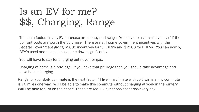## Is an EV for me? \$\$, Charging, Range

The main factors in any EV purchase are money and range. You have to assess for yourself if the up front costs are worth the purchase. There are still some government incentives with the Federal Government giving \$5000 incentives for full BEV's and \$2500 for PHEVs. You can now by BEV's used and the cost has come down significantly.

You will have to pay for charging but never for gas.

Charging at home is a privilege. If you have that privilege then you should take advantage and have home charging.

Range for your daily commute is the next factor. " I live in a climate with cold winters, my commute is 70 miles one way. Will I be able to make this commute without charging at work in the winter? Will I be able to turn on the heat?" These are real EV questions scenarios every day.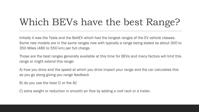## Which BEVs have the best Range?

Initially it was the Tesla and the BoltEV which had the longest ranges of the EV vehicle classes. Some new models are in the same ranges now with typically a range being stated as about 300 to 350 Miles (480 to 550 km) per full charge.

Those are the best ranges generally available at this time for BEVs and many factors will limit this range or might extend this range:

A) how you drive and the speed at which you drive impact your range and the car calculates this as you go along giving you range feedback

B) do you use the heat  $\odot$  or the AC

C) extra weight or reduction in smooth air flow by adding a roof rack or a trailer.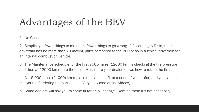## Advantages of the BEV

#### 1. No Gasoline

2. Simplicity – fewer things to maintain, fewer things to go wrong. " According to Tesla, their drivetrain has no more than 20 moving parts compared to the 200 or so in a typical drivetrain for an internal combustion vehicle.

3. The Maintenance schedule for the first 7500 miles (12000 km) is checking the tire pressure and then at 12000 km rotate the tires. Make sure your dealer knows how to rotate the tires.

4. At 15,000 miles (24000) km replace the cabin air filter (sooner if you prefer) and you can do this yourself ordering the part online. Very easy (see online videos).

5. Some dealers will ask you to come in for an oil change. Remind them it's not necessary.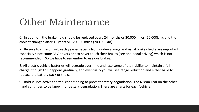#### Other Maintenance

6. In addition, the brake fluid should be replaced every 24 months or 30,000 miles (50,000km), and the coolant changed after 15 years or 120,000 miles (200,000km).

7. Be sure to rinse off salt each year especially from undercarriage and usual brake checks are important especially since some BEV drivers opt to never touch their brakes (see one pedal driving) which is not recommended. So we have to remember to use our brakes.

8. All electric vehicle batteries will degrade over time and lose some of their ability to maintain a full charge, though this happens gradually, and eventually you will see range reduction and either have to replace the battery pack or the car.

9. BoltEV uses active thermal conditioning to prevent battery degradation. The Nissan Leaf on the other hand continues to be known for battery degradation. There are charts for each Vehicle.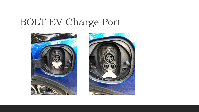## BOLT EV Charge Port



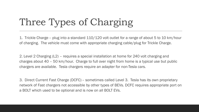## Three Types of Charging

1. Trickle Charge – plug into a standard 110/120 volt outlet for a range of about 5 to 10 km/hour of charging. The vehicle must come with appropriate charging cable/plug for Trickle Charge.

2. Level 2 Charging (L2) – requires a special installation at home for 240 volt charging and charges about 40 – 50 km/hour. Charge to full over night from home is a typical use but public chargers are available. Tesla chargers require an adapter for non-Tesla cars.

3. Direct Current Fast Charge (DCFC) – sometimes called Level 3. Tesla has its own proprietary network of Fast chargers not accessible by other types of BEVs. DCFC requires appropriate port on a BOLT which used to be optional and is now on all BOLT EVs.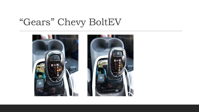#### "Gears" Chevy BoltEV



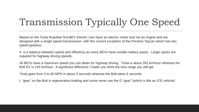## Transmission Typically One Speed

Based on the Tesla Roadster first BEV Electric cars have an electric motor and not an engine and are designed with a single speed transmission, with the current exception of the Porshce Taycan which has two speed gearbox.

It is a balance between speed and efficiency as many BEVs have smaller battery packs. Larger packs are required for highway driving speeds.

All BEVs have a maximum speed you can attain for highway driving. Tesla is about 262 km/hour whereas the Bolt EV is 145 km/hour. A significant difference. Faster you drive the less range you will get.

Tesla goes from 0 to 60 MPH in about 3 seconds whereas the Bolt takes 6 seconds.

L "gear" on the Bolt is regenerative braking and some never use the D "gear" (which is like an ICE vehicle)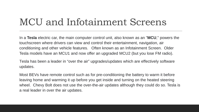#### MCU and Infotainment Screens

In a **Tesla** electric car, the main computer control unit, also known as an "**MCU**," powers the touchscreen where drivers can view and control their entertainment, navigation, air conditioning and other vehicle features. Often known as an Infotainment Screen. Older Tesla models have an MCU1 and now offer an upgraded MCU2 (but you lose FM radio).

Tesla has been a leader in "over the air" upgrades/updates which are effectively software updates.

Most BEVs have remote control such as for pre-conditioning the battery to warm it before leaving home and warming it up before you get inside and turning on the heated steering wheel. Chevy Bolt does not use the over-the-air updates although they could do so. Tesla is a real leader in over the air updates.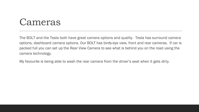#### Cameras

The BOLT and the Tesla both have great camera options and quality. Tesla has surround camera options, dashboard camera options. Our BOLT has birds-eye view, front and rear cameras. If car is packed full you can set up the Rear View Camera to see what is behind you on the road using the camera technology.

My favourite is being able to wash the rear camera from the driver's seat when it gets dirty.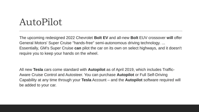#### AutoPilot

The upcoming redesigned 2022 Chevrolet **Bolt EV** and all-new **Bolt** EUV crossover **will** offer General Motors' Super Cruise "hands-free" semi-autonomous driving technology. ... Essentially, GM's Super Cruise **can** pilot the car on its own on select highways, and it doesn't require you to keep your hands on the wheel.

All new **Tesla** cars come standard with **Autopilot** as of April 2019, which includes Traffic-Aware Cruise Control and Autosteer. You can purchase **Autopilot** or Full Self-Driving Capability at any time through your **Tesla** Account – and the **Autopilot** software required will be added to your car.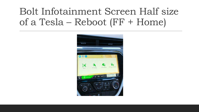### Bolt Infotainment Screen Half size of a Tesla – Reboot (FF + Home)

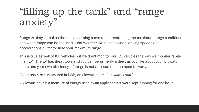## "filling up the tank" and "range anxiety"

Range Anxiety is real as there is a learning curve to understanding the maximum range conditions and when range can be reduced. Cold Weather, Rain, headwinds, driving speeds and accelerations all factor in to your maximum range.

This is true as well of ICE vehicles but we don't monitor our ICE vehicles the way we moniter range in an EV. The EV has great tools and you can be as nerdy a geek as you like about your kilowatt hours and your own efficiency. If range is not an issue then no need to worry.

EV battery size is measured in kWh, or kilowatt hours. But*what is that?*

A kilowatt hour is a measure of energy used by an appliance if it were kept running for one hour.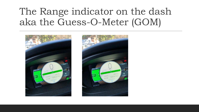#### The Range indicator on the dash aka the Guess-O-Meter (GOM)



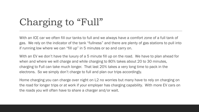## Charging to "Full"

With an ICE car we often fill our tanks to full and we always have a comfort zone of a full tank of gas. We rely on the indicator of the tank "fullness" and there are plenty of gas stations to pull into if running low where we can "fill up" in 5 minutes or so and carry on.

With an EV we don't have the luxury of a 5 minute fill up on the road. We have to plan ahead for when and where we will charge and while charging to 80% takes about 20 to 30 minutes, charging to Full can take much longer. That last 20% takes a very long time to pack in the electrons. So we simply don't charge to full and plan our trips accordingly.

Home charging you can charge over night on L2 no worries but many have to rely on charging on the road for longer trips or at work if your employer has charging capability. With more EV cars on the roads you will often have to share a charger and/or wait.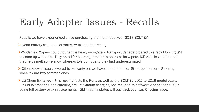### Early Adopter Issues - Recalls

Recalls we have experienced since purchasing the first model year 2017 BOLT EV:

 $\triangleright$  Dead battery cell – dealer software fix (our first recall)

Windshield Wipers could not handle heavy snow/ice – Transport Canada ordered this recall forcing GM to come up with a fix. They opted for a stronger motor to operate the wipers. ICE vehicles create heat that helps melt some snow whereas EVs do not and they had underestimated

▶ Other known issues covered by warranty but we have not had to use: Strut replacement, Steering wheel fix are two common ones

► LG Chem Batteries – this recall affects the Kona as well as the BOLT EV 2017 to 2019 model years. Risk of overheating and catching fire. Maximum charging was reduced by software and for Kona LG is doing full battery pack replacements. GM in some states will buy back your car. Ongoing issue.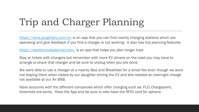## Trip and Charger Planning

<https://www.plugshare.com/en> is an app that you can find nearby charging stations which are operating and give feedback if you find a charger is not working. It also has trip planning features

<https://abetterrouteplanner.com/> is an app that helps you plan longer trips

Stay at hotels with chargers but remember with more EV drivers on the road you may have to arrange to share that charger and be sure to unplug when you are done

We were able to use a charger at a nearby Bed and Breakfast for a small fee even though we were not staying there when visited by our daughter driving the EV and she needed an overnight charge not available at our Air BNB.

Have accounts with the different companies which offer charging such as: FLO, Chargepoint, Greenlots are some. Have the App and be sure to also have the RFID card for options.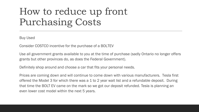## How to reduce up front Purchasing Costs

Buy Used

Consider COSTCO incentive for the purchase of a BOLTEV

Use all government grants available to you at the time of purchase (sadly Ontario no longer offers grants but other provinces do, as does the Federal Government).

Definitely shop around and choose a car that fits your personal needs.

Prices are coming down and will continue to come down with various manufacturers. Tesla first offered the Model 3 for which there was a 1 to 2 year wait list and a refundable deposit. During that time the BOLT EV came on the mark so we got our deposit refunded. Tesla is planning an even lower cost model within the next 5 years.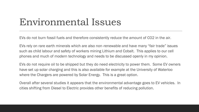#### Environmental Issues

EVs do not burn fossil fuels and therefore consistently reduce the amount of CO2 in the air.

EVs rely on rare earth minerals which are also non-renewable and have many "fair trade" issues such as child labour and safety of workers mining Lithium and Cobalt. This applies to our cell phones and much of modern technology and needs to be discussed openly in my opinion.

EVs do not require oil to be shipped but they do need electricity to power them. Some EV owners have set up solar charging and this is also available for example at the University of Waterloo where the Chargers are powered by Solar Energy. This is a great option.

Overall after several studies it appears that the environmental advantage goes to EV vehicles. In cities shifting from Diesel to Electric provides other benefits of reducing pollution.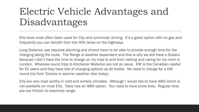## Electric Vehicle Advantages and Disadvantages

EVs have most often been used for City and commuter driving. It's a great option with no gas and frequently you can benefit from the HOV lanes on the highways.

Long Distance use requires planning and drivers have to be able to provide enough time for the charging along the route. The Range is weather dependent and this is why we still have a Subaru because I don't have the time to charge on my trips to and from visiting and caring for my mom in London. Whereas round trips to Kitchener Waterloo are not an issue. KW is the Canadian capital for EV users and they have lots of charging options as do hotels. No need to charge for a KW round trip from Toronto in warmer weather (like today).

EVs are very road worthy in cold and wintery climates. Although I would like to have AWD which is not available on most EVs. Tesla has an AWD option. You need to have snow tires. Regular tires are low friction to maximize range.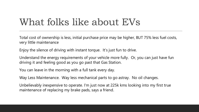### What folks like about EVs

Total cost of ownership is less, initial purchase price may be higher, BUT 75% less fuel costs, very little maintenance

Enjoy the silence of driving with instant torque. It's just fun to drive.

Understand the energy requirements of your vehicle more fully. Or, you can just have fun driving it and feeling good as you go past that Gas Station.

You can leave in the morning with a full tank every day.

Way Less Maintenance. Way less mechanical parts to go astray. No oil changes.

Unbelievably inexpensive to operate. I'm just now at 225k kms looking into my first true maintenance of replacing my brake pads, says a friend.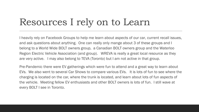### Resources I rely on to Learn

I heavily rely on Facebook Groups to help me learn about aspects of our car, current recall issues, and ask questions about anything. One can really only mange about 3 of these groups and I belong to a World Wide BOLT owners group, a Canadian BOLT owners group and the Waterloo Region Electric Vehicle Association (and group). WREVA is really a great local resource as they are very active. I may also belong to TEVA (Toronto) but I am not active in that group.

Pre-Pandemic there were EV gatherings which were fun to attend and a great way to learn about EVs. We also went to several Car Shows to compare various EVs. It is lots of fun to see where the charging is located on the car, where the trunk is located, and learn about lots of fun aspects of the vehicle. Meeting fellow EV enthusiasts and other BOLT owners is lots of fun. I still wave at every BOLT I see in Toronto.